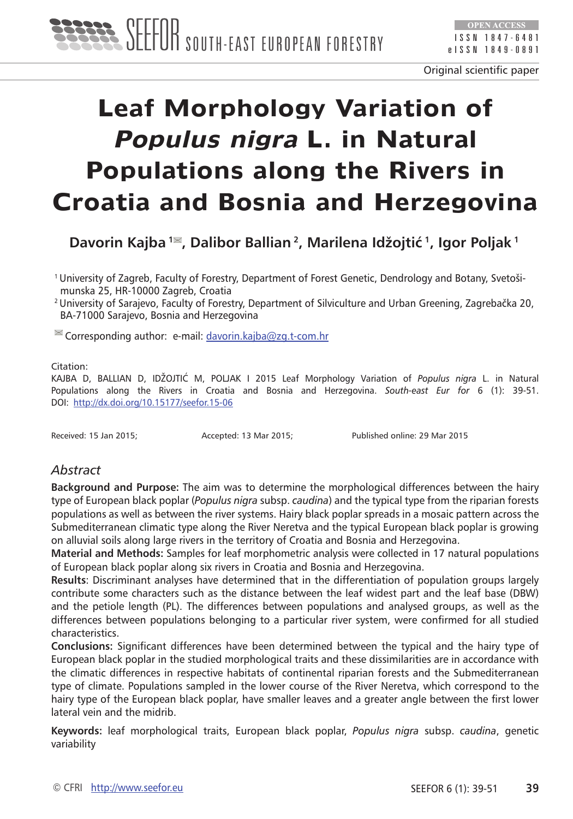# **Leaf Morphology Variation of Populus nigra L. in Natural Populations along the Rivers in Croatia and Bosnia and Herzegovina**

**Davorin Kajba 1 , Dalibor Ballian 2, Marilena Idžojtić 1, Igor Poljak 1**

1 University of Zagreb, Faculty of Forestry, Department of Forest Genetic, Dendrology and Botany, Svetoši munska 25, HR-10000 Zagreb, Croatia

<sup>2</sup>University of Sarajevo, Faculty of Forestry, Department of Silviculture and Urban Greening, Zagrebačka 20, BA-71000 Sarajevo, Bosnia and Herzegovina

 $\cong$  Corresponding author: e-mail: [davorin.kajba@zg.t-com.hr](mailto:davorin.kajba@zg.t-com.hr)

#### Citation:

KAJBA D, BALLIAN D, IDŽOJTIĆ M, POLJAK I 2015 Leaf Morphology Variation of *Populus nigra* L. in Natural Populations along the Rivers in Croatia and Bosnia and Herzegovina. *South-east Eur for* 6 (1): 39-51. DOI: <http://dx.doi.org/10.15177/seefor.15-06>

Received: 15 Jan 2015; Accepted: 13 Mar 2015; Published online: 29 Mar 2015

## *Abstract*

**Background and Purpose:** The aim was to determine the morphological differences between the hairy type of European black poplar (*Populus nigra* subsp. *caudina*) and the typical type from the riparian forests populations as well as between the river systems. Hairy black poplar spreads in a mosaic pattern across the Submediterranean climatic type along the River Neretva and the typical European black poplar is growing on alluvial soils along large rivers in the territory of Croatia and Bosnia and Herzegovina.

**Material and Methods:** Samples for leaf morphometric analysis were collected in 17 natural populations of European black poplar along six rivers in Croatia and Bosnia and Herzegovina.

**Results**: Discriminant analyses have determined that in the differentiation of population groups largely contribute some characters such as the distance between the leaf widest part and the leaf base (DBW) and the petiole length (PL). The differences between populations and analysed groups, as well as the differences between populations belonging to a particular river system, were confirmed for all studied characteristics.

**Conclusions:** Significant differences have been determined between the typical and the hairy type of European black poplar in the studied morphological traits and these dissimilarities are in accordance with the climatic differences in respective habitats of continental riparian forests and the Submediterranean type of climate. Populations sampled in the lower course of the River Neretva, which correspond to the hairy type of the European black poplar, have smaller leaves and a greater angle between the first lower lateral vein and the midrib.

**Keywords:** leaf morphological traits, European black poplar, *Populus nigra* subsp. *caudina*, genetic variability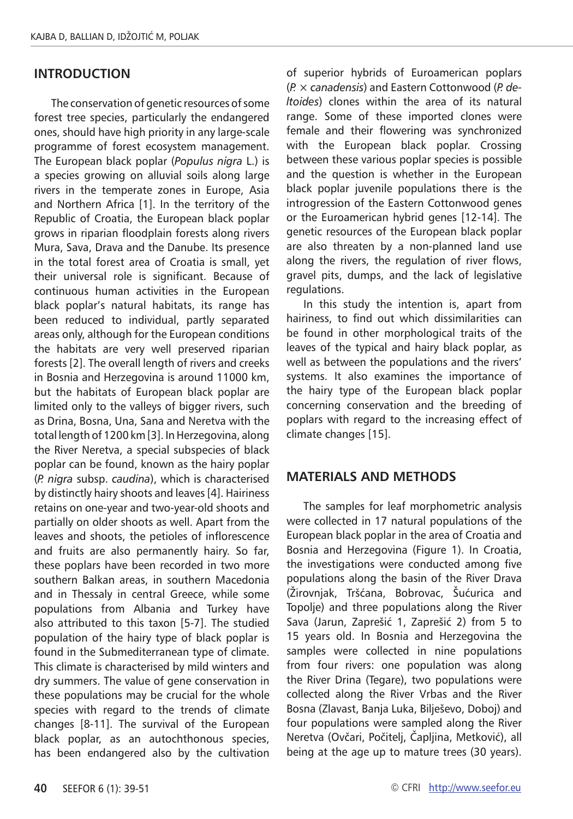## **Introduction**

The conservation of genetic resources of some forest tree species, particularly the endangered ones, should have high priority in any large-scale programme of forest ecosystem management. The European black poplar (*Populus nigra* L.) is a species growing on alluvial soils along large rivers in the temperate zones in Europe, Asia and Northern Africa [1]. In the territory of the Republic of Croatia, the European black poplar grows in riparian floodplain forests along rivers Mura, Sava, Drava and the Danube. Its presence in the total forest area of Croatia is small, yet their universal role is significant. Because of continuous human activities in the European black poplar's natural habitats, its range has been reduced to individual, partly separated areas only, although for the European conditions the habitats are very well preserved riparian forests [2]. The overall length of rivers and creeks in Bosnia and Herzegovina is around 11000 km, but the habitats of European black poplar are limited only to the valleys of bigger rivers, such as Drina, Bosna, Una, Sana and Neretva with the total length of 1200 km [3]. In Herzegovina, along the River Neretva, a special subspecies of black poplar can be found, known as the hairy poplar (*P. nigra* subsp. *caudina*), which is characterised by distinctly hairy shoots and leaves [4]. Hairiness retains on one-year and two-year-old shoots and partially on older shoots as well. Apart from the leaves and shoots, the petioles of inflorescence and fruits are also permanently hairy. So far, these poplars have been recorded in two more southern Balkan areas, in southern Macedonia and in Thessaly in central Greece, while some populations from Albania and Turkey have also attributed to this taxon [5-7]. The studied population of the hairy type of black poplar is found in the Submediterranean type of climate. This climate is characterised by mild winters and dry summers. The value of gene conservation in these populations may be crucial for the whole species with regard to the trends of climate changes [8-11]. The survival of the European black poplar, as an autochthonous species, has been endangered also by the cultivation

of superior hybrids of Euroamerican poplars (*P.* × *canadensis*) and Eastern Cottonwood (*P. deltoides*) clones within the area of its natural range. Some of these imported clones were female and their flowering was synchronized with the European black poplar. Crossing between these various poplar species is possible and the question is whether in the European black poplar juvenile populations there is the introgression of the Eastern Cottonwood genes or the Euroamerican hybrid genes [12-14]. The genetic resources of the European black poplar are also threaten by a non-planned land use along the rivers, the regulation of river flows, gravel pits, dumps, and the lack of legislative regulations.

In this study the intention is, apart from hairiness, to find out which dissimilarities can be found in other morphological traits of the leaves of the typical and hairy black poplar, as well as between the populations and the rivers' systems. It also examines the importance of the hairy type of the European black poplar concerning conservation and the breeding of poplars with regard to the increasing effect of climate changes [15].

## **Materials and methods**

The samples for leaf morphometric analysis were collected in 17 natural populations of the European black poplar in the area of Croatia and Bosnia and Herzegovina (Figure 1). In Croatia, the investigations were conducted among five populations along the basin of the River Drava (Žirovnjak, Tršćana, Bobrovac, Šućurica and Topolje) and three populations along the River Sava (Jarun, Zaprešić 1, Zaprešić 2) from 5 to 15 years old. In Bosnia and Herzegovina the samples were collected in nine populations from four rivers: one population was along the River Drina (Tegare), two populations were collected along the River Vrbas and the River Bosna (Zlavast, Banja Luka, Bilješevo, Doboj) and four populations were sampled along the River Neretva (Ovčari, Počitelj, Čapljina, Metković), all being at the age up to mature trees (30 years).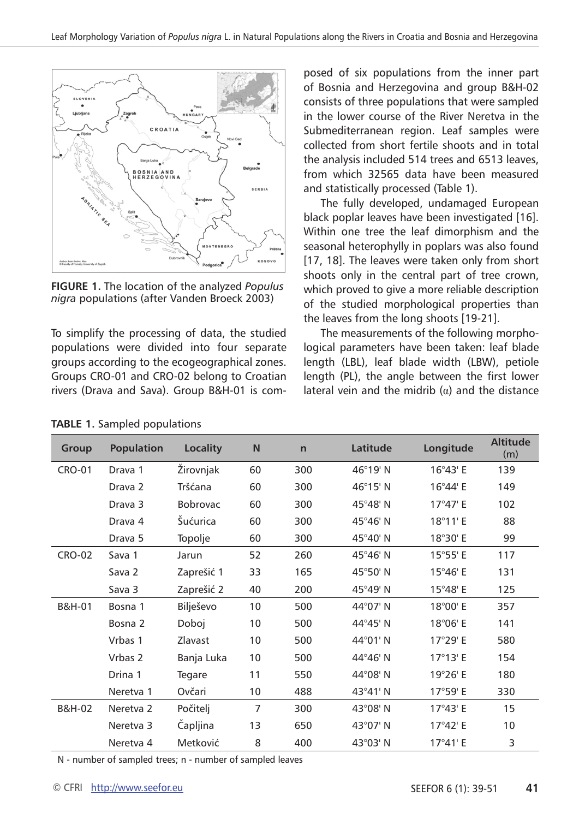

**Figure 1.** The location of the analyzed *Populus nigra* populations (after Vanden Broeck 2003)

To simplify the processing of data, the studied populations were divided into four separate groups according to the ecogeographical zones. Groups CRO-01 and CRO-02 belong to Croatian rivers (Drava and Sava). Group B&H-01 is composed of six populations from the inner part of Bosnia and Herzegovina and group B&H-02 consists of three populations that were sampled in the lower course of the River Neretva in the Submediterranean region. Leaf samples were collected from short fertile shoots and in total the analysis included 514 trees and 6513 leaves, from which 32565 data have been measured and statistically processed (Table 1).

The fully developed, undamaged European black poplar leaves have been investigated [16]. Within one tree the leaf dimorphism and the seasonal heterophylly in poplars was also found [17, 18]. The leaves were taken only from short shoots only in the central part of tree crown, which proved to give a more reliable description of the studied morphological properties than the leaves from the long shoots [19-21].

The measurements of the following morphological parameters have been taken: leaf blade length (LBL), leaf blade width (LBW), petiole length (PL), the angle between the first lower lateral vein and the midrib  $(\alpha)$  and the distance

| Group             | <b>Population</b>  | Locality        | N              | $\mathsf{n}$ | Latitude          | Longitude         | <b>Altitude</b><br>(m) |
|-------------------|--------------------|-----------------|----------------|--------------|-------------------|-------------------|------------------------|
| <b>CRO-01</b>     | Drava 1            | Žirovnjak       | 60             | 300          | 46°19' N          | $16^{\circ}43'$ E | 139                    |
|                   | Drava <sub>2</sub> | Tršćana         | 60             | 300          | $46^{\circ}15'$ N | 16°44' E          | 149                    |
|                   | Drava 3            | <b>Bobrovac</b> | 60             | 300          | 45°48' N          | $17^{\circ}47'$ E | 102                    |
|                   | Drava 4            | Šućurica        | 60             | 300          | 45°46' N          | 18°11' E          | 88                     |
|                   | Drava 5            | Topolje         | 60             | 300          | 45°40' N          | 18°30' E          | 99                     |
| <b>CRO-02</b>     | Sava 1             | Jarun           | 52             | 260          | $45^{\circ}46'$ N | $15^{\circ}55'$ E | 117                    |
|                   | Sava 2             | Zaprešić 1      | 33             | 165          | 45°50' N          | $15^{\circ}46'$ E | 131                    |
|                   | Sava 3             | Zaprešić 2      | 40             | 200          | 45°49' N          | $15^{\circ}48'$ E | 125                    |
| B&H-01            | Bosna 1            | Bilješevo       | 10             | 500          | 44°07' N          | 18°00' E          | 357                    |
|                   | Bosna 2            | Doboj           | 10             | 500          | 44°45' N          | 18°06' E          | 141                    |
|                   | Vrbas 1            | Zlavast         | 10             | 500          | 44°01' N          | 17°29' E          | 580                    |
|                   | Vrbas 2            | Banja Luka      | 10             | 500          | 44°46' N          | $17^{\circ}13'$ E | 154                    |
|                   | Drina 1            | Tegare          | 11             | 550          | 44°08' N          | 19°26' E          | 180                    |
|                   | Neretva 1          | Ovčari          | 10             | 488          | $43^{\circ}41'$ N | 17°59' E          | 330                    |
| <b>B&amp;H-02</b> | Neretva 2          | Počitelj        | $\overline{7}$ | 300          | 43°08' N          | $17^{\circ}43'$ F | 15                     |
|                   | Neretva 3          | Capljina        | 13             | 650          | 43°07' N          | $17^{\circ}42'$ F | 10                     |
|                   | Neretva 4          | Metković        | 8              | 400          | 43°03' N          | $17^{\circ}41'$ E | 3                      |

**Table 1.** Sampled populations

N - number of sampled trees; n - number of sampled leaves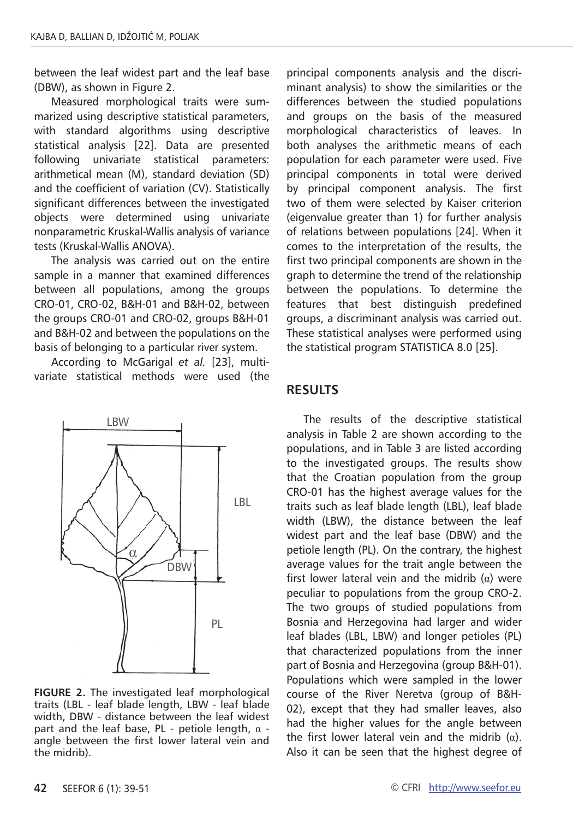between the leaf widest part and the leaf base (DBW), as shown in Figure 2.

Measured morphological traits were summarized using descriptive statistical parameters, with standard algorithms using descriptive statistical analysis [22]. Data are presented following univariate statistical parameters: arithmetical mean (M), standard deviation (SD) and the coefficient of variation (CV). Statistically significant differences between the investigated objects were determined using univariate nonparametric Kruskal-Wallis analysis of variance tests (Kruskal-Wallis ANOVA).

The analysis was carried out on the entire sample in a manner that examined differences between all populations, among the groups CRO-01, CRO-02, B&H-01 and B&H-02, between the groups CRO-01 and CRO-02, groups B&H-01 and B&H-02 and between the populations on the basis of belonging to a particular river system.

According to McGarigal *et al.* [23], multivariate statistical methods were used (the



**Figure 2.** The investigated leaf morphological traits (LBL - leaf blade length, LBW - leaf blade width, DBW - distance between the leaf widest part and the leaf base, PL - petiole length,  $\alpha$  angle between the first lower lateral vein and the midrib).

principal components analysis and the discriminant analysis) to show the similarities or the differences between the studied populations and groups on the basis of the measured morphological characteristics of leaves. In both analyses the arithmetic means of each population for each parameter were used. Five principal components in total were derived by principal component analysis. The first two of them were selected by Kaiser criterion (eigenvalue greater than 1) for further analysis of relations between populations [24]. When it comes to the interpretation of the results, the first two principal components are shown in the graph to determine the trend of the relationship between the populations. To determine the features that best distinguish predefined groups, a discriminant analysis was carried out. These statistical analyses were performed using the statistical program STATISTICA 8.0 [25].

### **Results**

The results of the descriptive statistical analysis in Table 2 are shown according to the populations, and in Table 3 are listed according to the investigated groups. The results show that the Croatian population from the group CRO-01 has the highest average values for the traits such as leaf blade length (LBL), leaf blade width (LBW), the distance between the leaf widest part and the leaf base (DBW) and the petiole length (PL). On the contrary, the highest average values for the trait angle between the first lower lateral vein and the midrib  $(\alpha)$  were peculiar to populations from the group CRO-2. The two groups of studied populations from Bosnia and Herzegovina had larger and wider leaf blades (LBL, LBW) and longer petioles (PL) that characterized populations from the inner part of Bosnia and Herzegovina (group B&H-01). Populations which were sampled in the lower course of the River Neretva (group of B&H-02), except that they had smaller leaves, also had the higher values for the angle between the first lower lateral vein and the midrib  $(α)$ . Also it can be seen that the highest degree of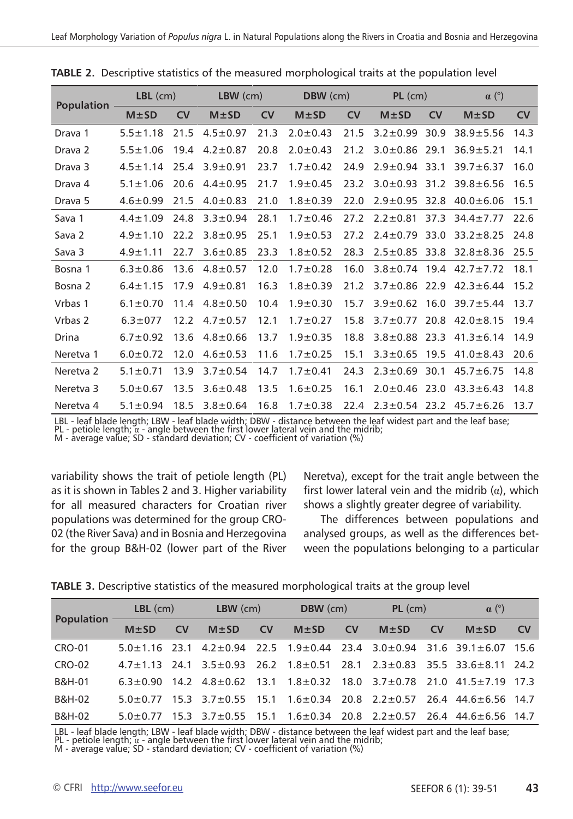|                      | $LBL$ (cm)     |      | $LBW$ (cm)     |           | DBW (cm)       |      | $PL$ (cm)           |      | $\alpha$ (°)                        |           |
|----------------------|----------------|------|----------------|-----------|----------------|------|---------------------|------|-------------------------------------|-----------|
| <b>Population</b>    | $M \pm SD$     | CV   | $M \pm SD$     | <b>CV</b> | $M \pm SD$     | CV   | $M \pm SD$          | CV   | $M \pm SD$                          | <b>CV</b> |
| Drava 1              | $5.5 \pm 1.18$ | 21.5 | $4.5 \pm 0.97$ | 21.3      | $2.0 \pm 0.43$ | 21.5 | $3.2 \pm 0.99$      | 30.9 | $38.9 + 5.56$                       | 14.3      |
| Drava 2              | $5.5 \pm 1.06$ | 19.4 | $4.2 \pm 0.87$ | 20.8      | $2.0 \pm 0.43$ | 21.2 | $3.0 \pm 0.86$      | 29.1 | $36.9 + 5.21$                       | 14.1      |
| Drava <sub>3</sub>   | $4.5 \pm 1.14$ | 25.4 | $3.9 + 0.91$   | 23.7      | $1.7 \pm 0.42$ | 24.9 | $2.9 \pm 0.94$      | 33.1 | $39.7 \pm 6.37$                     | 16.0      |
| Drava 4              | $5.1 \pm 1.06$ | 20.6 | $4.4 \pm 0.95$ | 21.7      | $1.9 + 0.45$   | 23.2 | $3.0 \pm 0.93$      | 31.2 | $39.8 \pm 6.56$                     | 16.5      |
| Drava 5              | $4.6 \pm 0.99$ | 21.5 | $4.0 \pm 0.83$ | 21.0      | $1.8 + 0.39$   | 22.0 | $2.9 \pm 0.95$      | 32.8 | $40.0 \pm 6.06$                     | 15.1      |
| Sava 1               | $4.4 \pm 1.09$ | 24.8 | $3.3 \pm 0.94$ | 28.1      | $1.7 \pm 0.46$ | 27.2 | $2.2 \pm 0.81$      | 37.3 | $34.4 \pm 7.77$                     | 22.6      |
| Sava <sub>2</sub>    | $4.9 \pm 1.10$ | 22.2 | $3.8 + 0.95$   | 25.1      | $1.9 + 0.53$   | 27.2 | $2.4 \pm 0.79$      | 33.0 | $33.2 + 8.25$                       | 24.8      |
| Sava 3               | $4.9 \pm 1.11$ | 22.7 | $3.6 + 0.85$   | 23.3      | $1.8 \pm 0.52$ | 28.3 | $2.5 \pm 0.85$      | 33.8 | $32.8 + 8.36$                       | 25.5      |
| Bosna 1              | $6.3 \pm 0.86$ | 13.6 | $4.8 \pm 0.57$ | 12.0      | $1.7 \pm 0.28$ | 16.0 |                     |      | $3.8 \pm 0.74$ 19.4 42.7 ± 7.72     | 18.1      |
| Bosna 2              | $6.4 \pm 1.15$ | 17.9 | $4.9 \pm 0.81$ | 16.3      | $1.8 + 0.39$   | 21.2 | $3.7 \pm 0.86$ 22.9 |      | $42.3 \pm 6.44$                     | 15.2      |
| Vrbas 1              | $6.1 \pm 0.70$ | 11.4 | $4.8 \pm 0.50$ | 10.4      | $1.9 + 0.30$   | 15.7 | $3.9 \pm 0.62$      | 16.0 | $39.7 \pm 5.44$                     | 13.7      |
| Vrbas 2              | $6.3 \pm 077$  | 12.2 | $4.7 \pm 0.57$ | 12.1      | $1.7 \pm 0.27$ | 15.8 | $3.7 \pm 0.77$ 20.8 |      | $42.0 \pm 8.15$                     | 19.4      |
| Drina                | $6.7 \pm 0.92$ | 13.6 | $4.8 \pm 0.66$ | 13.7      | $1.9 + 0.35$   | 18.8 | $3.8 \pm 0.88$ 23.3 |      | $41.3 \pm 6.14$                     | 14.9      |
| Neretva 1            | $6.0 \pm 0.72$ | 12.0 | $4.6 \pm 0.53$ | 11.6      | $1.7 \pm 0.25$ | 15.1 | $3.3 \pm 0.65$ 19.5 |      | $41.0 \pm 8.43$                     | 20.6      |
| Neretva <sub>2</sub> | $5.1 \pm 0.71$ | 13.9 | $3.7 \pm 0.54$ | 14.7      | $1.7 \pm 0.41$ | 24.3 | $2.3 \pm 0.69$      | 30.1 | $45.7 \pm 6.75$                     | 14.8      |
| Neretva 3            | $5.0 \pm 0.67$ | 13.5 | $3.6 \pm 0.48$ | 13.5      | $1.6 \pm 0.25$ | 16.1 | $2.0 \pm 0.46$ 23.0 |      | $43.3 \pm 6.43$                     | 14.8      |
| Neretva 4            | $5.1 \pm 0.94$ | 18.5 | $3.8 \pm 0.64$ | 16.8      | $1.7 \pm 0.38$ | 22.4 |                     |      | $2.3 \pm 0.54$ 23.2 45.7 $\pm 6.26$ | 13.7      |

**Table 2.** Descriptive statistics of the measured morphological traits at the population level

LBL - leaf blade length; LBW - leaf blade width; DBW - distance between the leaf widest part and the leaf base;<br>PL - petiole length; a - angle between the first lower lateral vein and the midrib;<br>M - average value; SD - st

variability shows the trait of petiole length (PL) as it is shown in Tables 2 and 3. Higher variability for all measured characters for Croatian river populations was determined for the group CRO-02 (the River Sava) and in Bosnia and Herzegovina for the group B&H-02 (lower part of the River

Neretva), except for the trait angle between the first lower lateral vein and the midrib  $(\alpha)$ , which shows a slightly greater degree of variability.

The differences between populations and analysed groups, as well as the differences between the populations belonging to a particular

|  |  | TABLE 3. Descriptive statistics of the measured morphological traits at the group level |  |
|--|--|-----------------------------------------------------------------------------------------|--|
|  |  |                                                                                         |  |

| <b>Population</b> | $LBL$ (cm) |           | $LBW$ (cm) |           | DBW (cm)                                                                |           | $PL$ (cm)  |           | $\alpha$ (°)                                                                                         |           |
|-------------------|------------|-----------|------------|-----------|-------------------------------------------------------------------------|-----------|------------|-----------|------------------------------------------------------------------------------------------------------|-----------|
|                   | $M \pm SD$ | <b>CV</b> | $M+SD$     | <b>CV</b> | $M \pm SD$                                                              | <b>CV</b> | $M \pm SD$ | <b>CV</b> | $M \pm SD$                                                                                           | <b>CV</b> |
| <b>CRO-01</b>     |            |           |            |           |                                                                         |           |            |           | $5.0 \pm 1.16$ 23.1 $4.2 \pm 0.94$ 22.5 $1.9 \pm 0.44$ 23.4 $3.0 \pm 0.94$ 31.6 39.1 $\pm 6.07$ 15.6 |           |
| <b>CRO-02</b>     |            |           |            |           |                                                                         |           |            |           | $47+113$ 24.1 $3.5+0.93$ 26.2 $1.8+0.51$ 28.1 $2.3+0.83$ 35.5 33.6 + 8.11 24.2                       |           |
| B&H-01            |            |           |            |           | $6.3\pm0.90$ 14.2 $4.8\pm0.62$ 13.1 $1.8\pm0.32$ 18.0 $3.7\pm0.78$ 21.0 |           |            |           | $41.5 + 7.19$ 17.3                                                                                   |           |
| B&H-02            | $50+077$   |           |            |           | $15.3$ $3.7\pm0.55$ $15.1$ $1.6\pm0.34$ $20.8$ $2.2\pm0.57$             |           |            |           | $26.4$ $44.6 + 6.56$ 14.7                                                                            |           |
| B&H-02            | 50+077     |           |            |           | $15.3$ $3.7\pm0.55$ $15.1$ $1.6\pm0.34$ $20.8$ $2.2\pm0.57$             |           |            |           | 26.4 44.6 + 6.56 14.7                                                                                |           |

LBL - leaf blade length; LBW - leaf blade width; DBW - distance between the leaf widest part and the leaf base;<br>PL - petiole length; a - angle between the first lower lateral vein and the midrib;<br>M - average value; SD - st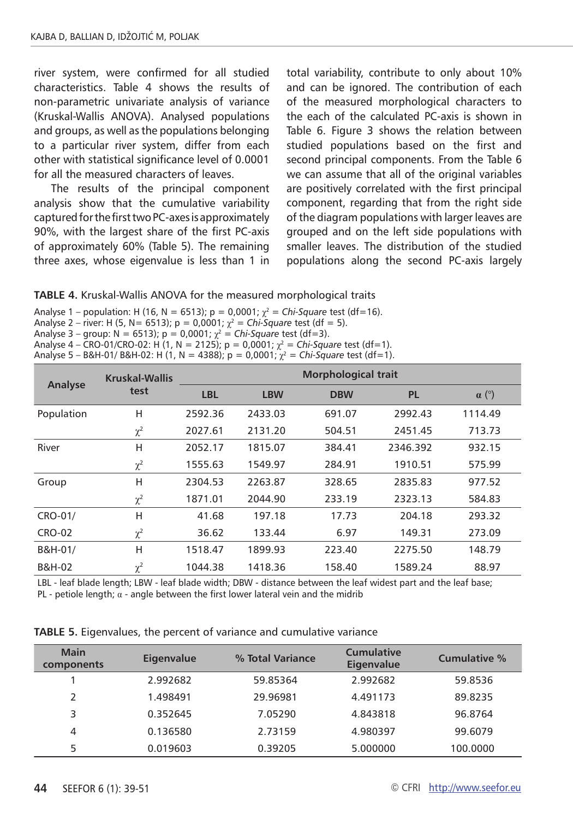river system, were confirmed for all studied characteristics. Table 4 shows the results of non-parametric univariate analysis of variance (Kruskal-Wallis ANOVA). Analysed populations and groups, as well as the populations belonging to a particular river system, differ from each other with statistical significance level of 0.0001 for all the measured characters of leaves.

The results of the principal component analysis show that the cumulative variability captured for the first two PC-axes is approximately 90%, with the largest share of the first PC-axis of approximately 60% (Table 5). The remaining three axes, whose eigenvalue is less than 1 in total variability, contribute to only about 10% and can be ignored. The contribution of each of the measured morphological characters to the each of the calculated PC-axis is shown in Table 6. Figure 3 shows the relation between studied populations based on the first and second principal components. From the Table 6 we can assume that all of the original variables are positively correlated with the first principal component, regarding that from the right side of the diagram populations with larger leaves are grouped and on the left side populations with smaller leaves. The distribution of the studied populations along the second PC-axis largely

#### **Table 4.** Kruskal-Wallis ANOVA for the measured morphological traits

Analyse 1 – population: H (16, N = 6513); p = 0,0001;  $\chi^2 = Chi-Square$  test (df=16). Analyse 2 – river: H (5, N = 6513); p = 0,0001;  $\chi^2$  = *Chi-Square* test (df = 5). Analyse 3 – group:  $N = 6513$ );  $p = 0,0001$ ;  $\chi^2 =$  *Chi-Square* test (df=3). Analyse  $4 - \text{CRO-01/CRO-02}: H(1, N = 2125): p = 0,0001: y^2 = \text{Chi-Square test (df=1)}$ 

$$
x_1 = 12.5
$$
\n
$$
x_2 = 12.5
$$
\n
$$
x_3 = 12.5
$$
\n
$$
x_4 = 12.5
$$
\n
$$
x_5 = 12.5
$$
\n
$$
x_6 = 12.5
$$
\n
$$
x_7 = 12.5
$$
\n
$$
x_8 = 12.5
$$
\n
$$
x_9 = 12.5
$$
\n
$$
x_9 = 12.5
$$
\n
$$
x_9 = 12.5
$$
\n
$$
x_9 = 12.5
$$
\n
$$
x_9 = 12.5
$$
\n
$$
x_9 = 12.5
$$
\n
$$
x_9 = 12.5
$$
\n
$$
x_9 = 12.5
$$
\n
$$
x_9 = 12.5
$$
\n
$$
x_9 = 12.5
$$
\n
$$
x_9 = 12.5
$$
\n
$$
x_9 = 12.5
$$
\n
$$
x_9 = 12.5
$$
\n
$$
x_9 = 12.5
$$
\n
$$
x_9 = 12.5
$$
\n
$$
x_9 = 12.5
$$
\n
$$
x_9 = 12.5
$$
\n
$$
x_9 = 12.5
$$
\n
$$
x_9 = 12.5
$$
\n
$$
x_9 = 12.5
$$
\n
$$
x_9 = 12.5
$$
\n
$$
x_9 = 12.5
$$
\n
$$
x_9 = 12.5
$$
\n
$$
x_9 = 12.5
$$
\n
$$
x_9 = 12.5
$$
\n
$$
x_9 = 12.5
$$
\n
$$
x_9 = 12.5
$$
\n
$$
x_9 = 12.5
$$
\n
$$
x_9 = 12.5
$$
\n
$$
x_9 = 12.5
$$
\n
$$
x_9 = 12.5
$$
\n
$$
x_9 = 12.5
$$
\n<math display="block</math>

|               | <b>Kruskal-Wallis</b> |            |            | <b>Morphological trait</b> |           |              |
|---------------|-----------------------|------------|------------|----------------------------|-----------|--------------|
| Analyse       | test                  | <b>LBL</b> | <b>LBW</b> | <b>DBW</b>                 | <b>PL</b> | $\alpha$ (°) |
| Population    | н                     | 2592.36    | 2433.03    | 691.07                     | 2992.43   | 1114.49      |
|               | $\chi^2$              | 2027.61    | 2131.20    | 504.51                     | 2451.45   | 713.73       |
| River         | н                     | 2052.17    | 1815.07    | 384.41                     | 2346.392  | 932.15       |
|               | $\chi^2$              | 1555.63    | 1549.97    | 284.91                     | 1910.51   | 575.99       |
| Group         | н                     | 2304.53    | 2263.87    | 328.65                     | 2835.83   | 977.52       |
|               | $\chi^2$              | 1871.01    | 2044.90    | 233.19                     | 2323.13   | 584.83       |
| CRO-01/       | н                     | 41.68      | 197.18     | 17.73                      | 204.18    | 293.32       |
| <b>CRO-02</b> | $\chi^2$              | 36.62      | 133.44     | 6.97                       | 149.31    | 273.09       |
| B&H-01/       | н                     | 1518.47    | 1899.93    | 223.40                     | 2275.50   | 148.79       |
| B&H-02        | $\chi^2$              | 1044.38    | 1418.36    | 158.40                     | 1589.24   | 88.97        |

LBL - leaf blade length; LBW - leaf blade width; DBW - distance between the leaf widest part and the leaf base; PL - petiole length;  $\alpha$  - angle between the first lower lateral vein and the midrib

| <b>Main</b><br>components | <b>Eigenvalue</b> | % Total Variance | Cumulative<br><b>Eigenvalue</b> | Cumulative % |
|---------------------------|-------------------|------------------|---------------------------------|--------------|
|                           | 2.992682          | 59.85364         | 2.992682                        | 59.8536      |
| 2                         | 1.498491          | 29.96981         | 4.491173                        | 89.8235      |
| 3                         | 0.352645          | 7.05290          | 4.843818                        | 96.8764      |
| 4                         | 0.136580          | 2.73159          | 4.980397                        | 99.6079      |
| 5                         | 0.019603          | 0.39205          | 5.000000                        | 100.0000     |

**Table 5.** Eigenvalues, the percent of variance and cumulative variance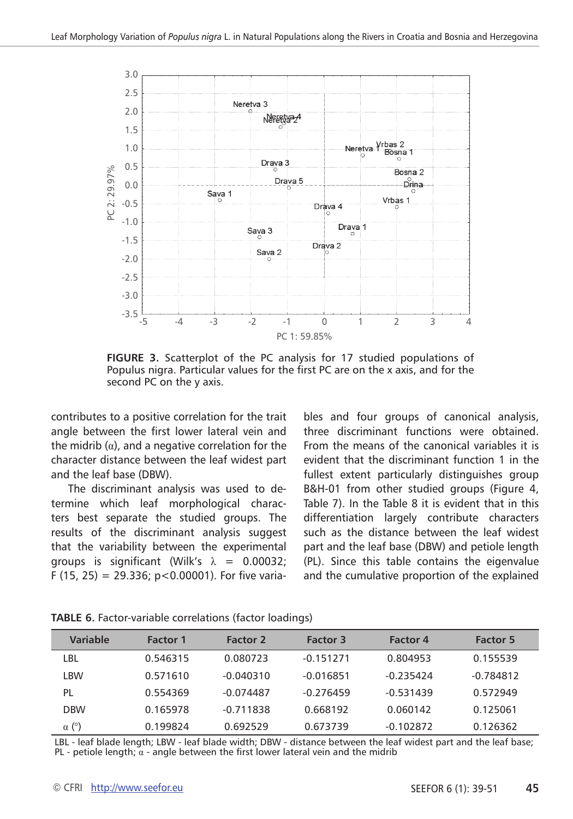

FIGURE 3. Scatterplot of the PC analysis for 17 studied populations of Populus nigra. Particular values for the first PC are on the x axis, and for the second PC on the y axis.

contributes to a positive correlation for the trait angle between the first lower lateral vein and the midrib  $(\alpha)$ , and a negative correlation for the character distance between the leaf widest part and the leaf base (DBW).

The discriminant analysis was used to determine which leaf morphological characters best separate the studied groups. The results of the discriminant analysis suggest that the variability between the experimental groups is significant (Wilk's  $\lambda = 0.00032$ ; F (15, 25) = 29.336; p<0.00001). For five variables and four groups of canonical analysis, three discriminant functions were obtained. From the means of the canonical variables it is evident that the discriminant function 1 in the fullest extent particularly distinguishes group B&H-01 from other studied groups (Figure 4, Table 7). In the Table 8 it is evident that in this differentiation largely contribute characters such as the distance between the leaf widest part and the leaf base (DBW) and petiole length (PL). Since this table contains the eigenvalue and the cumulative proportion of the explained

| Variable     | <b>Factor 1</b> | <b>Factor 2</b> | <b>Factor 3</b> | <b>Factor 4</b> | <b>Factor 5</b> |
|--------------|-----------------|-----------------|-----------------|-----------------|-----------------|
| LBL          | 0.546315        | 0.080723        | $-0.151271$     | 0.804953        | 0.155539        |
| LBW          | 0.571610        | $-0.040310$     | $-0.016851$     | $-0.235424$     | $-0.784812$     |
| PL           | 0.554369        | $-0.074487$     | $-0.276459$     | $-0.531439$     | 0.572949        |
| <b>DBW</b>   | 0.165978        | $-0.711838$     | 0.668192        | 0.060142        | 0.125061        |
| $\alpha$ (°) | 0.199824        | 0.692529        | 0.673739        | $-0.102872$     | 0.126362        |

**Table 6.** Factor-variable correlations (factor loadings)

LBL - leaf blade length; LBW - leaf blade width; DBW - distance between the leaf widest part and the leaf base; PL - petiole length;  $\alpha$  - angle between the first lower lateral vein and the midrib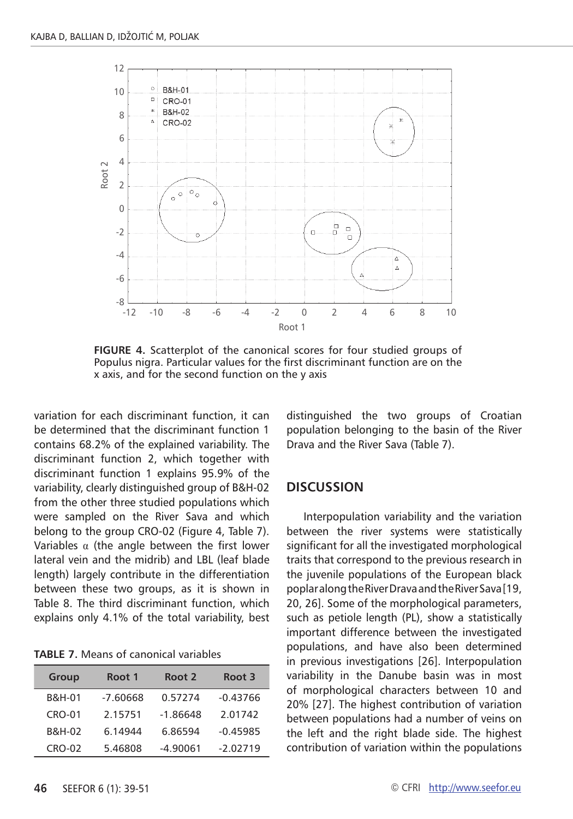

**Figure 4.** Scatterplot of the canonical scores for four studied groups of Populus nigra. Particular values for the first discriminant function are on the x axis, and for the second function on the y axis

variation for each discriminant function, it can be determined that the discriminant function 1 contains 68.2% of the explained variability. The discriminant function 2, which together with discriminant function 1 explains 95.9% of the variability, clearly distinguished group of B&H-02 from the other three studied populations which were sampled on the River Sava and which belong to the group CRO-02 (Figure 4, Table 7). Variables  $\alpha$  (the angle between the first lower lateral vein and the midrib) and LBL (leaf blade length) largely contribute in the differentiation between these two groups, as it is shown in Table 8. The third discriminant function, which explains only 4.1% of the total variability, best

**Table 7.** Means of canonical variables

| Group             | Root 1     | Root 2     | Root 3     |
|-------------------|------------|------------|------------|
| <b>B&amp;H-01</b> | $-7.60668$ | 0.57274    | $-0.43766$ |
| $CRO-01$          | 2.15751    | $-1.86648$ | 2.01742    |
| B&H-02            | 6.14944    | 6.86594    | $-0.45985$ |
| $CRO-02$          | 5.46808    | $-4.90061$ | $-2.02719$ |

distinguished the two groups of Croatian population belonging to the basin of the River Drava and the River Sava (Table 7).

### **Discussion**

Interpopulation variability and the variation between the river systems were statistically significant for all the investigated morphological traits that correspond to the previous research in the juvenile populations of the European black poplar along the River Drava and the River Sava [19, 20, 26]. Some of the morphological parameters, such as petiole length (PL), show a statistically important difference between the investigated populations, and have also been determined in previous investigations [26]. Interpopulation variability in the Danube basin was in most of morphological characters between 10 and 20% [27]. The highest contribution of variation between populations had a number of veins on the left and the right blade side. The highest contribution of variation within the populations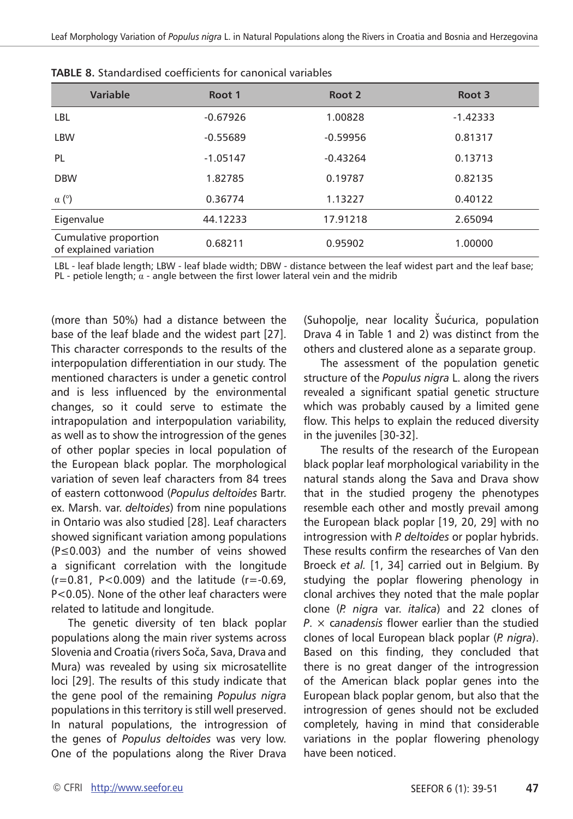| <b>Variable</b>                                 | Root 1     | Root 2     | Root 3     |
|-------------------------------------------------|------------|------------|------------|
| <b>LBL</b>                                      | $-0.67926$ | 1.00828    | $-1.42333$ |
| <b>LBW</b>                                      | $-0.55689$ | $-0.59956$ | 0.81317    |
| <b>PL</b>                                       | $-1.05147$ | $-0.43264$ | 0.13713    |
| <b>DBW</b>                                      | 1.82785    | 0.19787    | 0.82135    |
| $\alpha$ (°)                                    | 0.36774    | 1.13227    | 0.40122    |
| Eigenvalue                                      | 44.12233   | 17.91218   | 2.65094    |
| Cumulative proportion<br>of explained variation | 0.68211    | 0.95902    | 1.00000    |

| <b>TABLE 8.</b> Standardised coefficients for canonical variables |
|-------------------------------------------------------------------|
|-------------------------------------------------------------------|

LBL - leaf blade length; LBW - leaf blade width; DBW - distance between the leaf widest part and the leaf base; PL - petiole length;  $\alpha$  - angle between the first lower lateral vein and the midrib

(more than 50%) had a distance between the base of the leaf blade and the widest part [27]. This character corresponds to the results of the interpopulation differentiation in our study. The mentioned characters is under a genetic control and is less influenced by the environmental changes, so it could serve to estimate the intrapopulation and interpopulation variability, as well as to show the introgression of the genes of other poplar species in local population of the European black poplar. The morphological variation of seven leaf characters from 84 trees of eastern cottonwood (*Populus deltoides* Bartr. ex. Marsh. var. *deltoides*) from nine populations in Ontario was also studied [28]. Leaf characters showed significant variation among populations (P≤0.003) and the number of veins showed a significant correlation with the longitude  $(r=0.81, P<0.009)$  and the latitude  $(r=-0.69, P<sub>0.009</sub>)$ P<0.05). None of the other leaf characters were related to latitude and longitude.

The genetic diversity of ten black poplar populations along the main river systems across Slovenia and Croatia (rivers Soča, Sava, Drava and Mura) was revealed by using six microsatellite loci [29]. The results of this study indicate that the gene pool of the remaining *Populus nigra* populations in this territory is still well preserved. In natural populations, the introgression of the genes of *Populus deltoides* was very low. One of the populations along the River Drava

(Suhopolje, near locality Šućurica, population Drava 4 in Table 1 and 2) was distinct from the others and clustered alone as a separate group.

The assessment of the population genetic structure of the *Populus nigra* L. along the rivers revealed a significant spatial genetic structure which was probably caused by a limited gene flow. This helps to explain the reduced diversity in the juveniles [30-32].

The results of the research of the European black poplar leaf morphological variability in the natural stands along the Sava and Drava show that in the studied progeny the phenotypes resemble each other and mostly prevail among the European black poplar [19, 20, 29] with no introgression with *P. deltoides* or poplar hybrids. These results confirm the researches of Van den Broeck *et al.* [1, 34] carried out in Belgium. By studying the poplar flowering phenology in clonal archives they noted that the male poplar clone (*P. nigra* var. *italica*) and 22 clones of *P*. × c*anadensis* flower earlier than the studied clones of local European black poplar (*P. nigra*). Based on this finding, they concluded that there is no great danger of the introgression of the American black poplar genes into the European black poplar genom, but also that the introgression of genes should not be excluded completely, having in mind that considerable variations in the poplar flowering phenology have been noticed.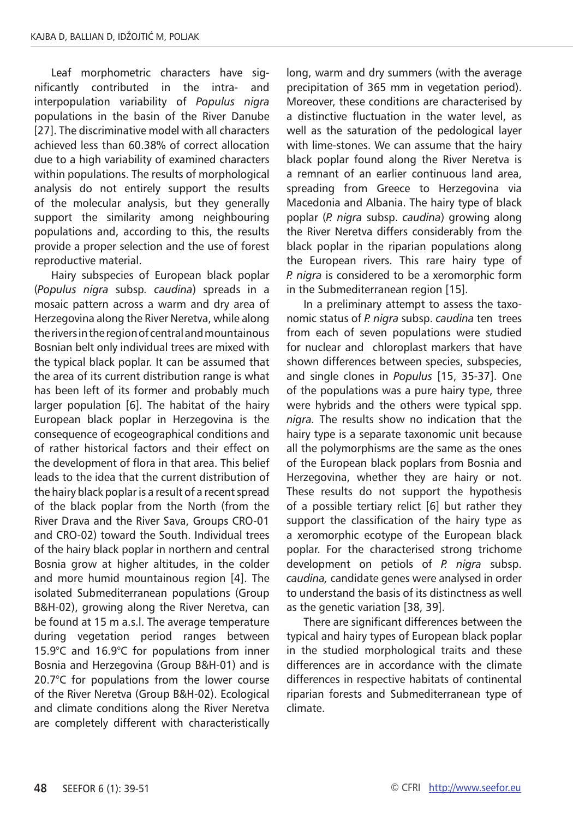Leaf morphometric characters have significantly contributed in the intra- and interpopulation variability of *Populus nigra* populations in the basin of the River Danube [27]. The discriminative model with all characters achieved less than 60.38% of correct allocation due to a high variability of examined characters within populations. The results of morphological analysis do not entirely support the results of the molecular analysis, but they generally support the similarity among neighbouring populations and, according to this, the results provide a proper selection and the use of forest reproductive material.

Hairy subspecies of European black poplar (*Populus nigra* subsp*. caudina*) spreads in a mosaic pattern across a warm and dry area of Herzegovina along the River Neretva, while along the rivers in the region of central and mountainous Bosnian belt only individual trees are mixed with the typical black poplar. It can be assumed that the area of its current distribution range is what has been left of its former and probably much larger population [6]. The habitat of the hairy European black poplar in Herzegovina is the consequence of ecogeographical conditions and of rather historical factors and their effect on the development of flora in that area. This belief leads to the idea that the current distribution of the hairy black poplar is a result of a recent spread of the black poplar from the North (from the River Drava and the River Sava, Groups CRO-01 and CRO-02) toward the South. Individual trees of the hairy black poplar in northern and central Bosnia grow at higher altitudes, in the colder and more humid mountainous region [4]. The isolated Submediterranean populations (Group B&H-02), growing along the River Neretva, can be found at 15 m a.s.l. The average temperature during vegetation period ranges between 15.9°C and 16.9°C for populations from inner Bosnia and Herzegovina (Group B&H-01) and is 20.7°C for populations from the lower course of the River Neretva (Group B&H-02). Ecological and climate conditions along the River Neretva are completely different with characteristically long, warm and dry summers (with the average precipitation of 365 mm in vegetation period). Moreover, these conditions are characterised by a distinctive fluctuation in the water level, as well as the saturation of the pedological layer with lime-stones. We can assume that the hairy black poplar found along the River Neretva is a remnant of an earlier continuous land area, spreading from Greece to Herzegovina via Macedonia and Albania. The hairy type of black poplar (*P. nigra* subsp. *caudina*) growing along the River Neretva differs considerably from the black poplar in the riparian populations along the European rivers. This rare hairy type of *P. nigra* is considered to be a xeromorphic form in the Submediterranean region [15].

In a preliminary attempt to assess the taxonomic status of *P. nigra* subsp. *caudina* ten trees from each of seven populations were studied for nuclear and chloroplast markers that have shown differences between species, subspecies, and single clones in *Populus* [15, 35-37]. One of the populations was a pure hairy type, three were hybrids and the others were typical spp. *nigra.* The results show no indication that the hairy type is a separate taxonomic unit because all the polymorphisms are the same as the ones of the European black poplars from Bosnia and Herzegovina, whether they are hairy or not. These results do not support the hypothesis of a possible tertiary relict [6] but rather they support the classification of the hairy type as a xeromorphic ecotype of the European black poplar. For the characterised strong trichome development on petiols of *P. nigra* subsp. *caudina,* candidate genes were analysed in order to understand the basis of its distinctness as well as the genetic variation [38, 39].

There are significant differences between the typical and hairy types of European black poplar in the studied morphological traits and these differences are in accordance with the climate differences in respective habitats of continental riparian forests and Submediterranean type of climate.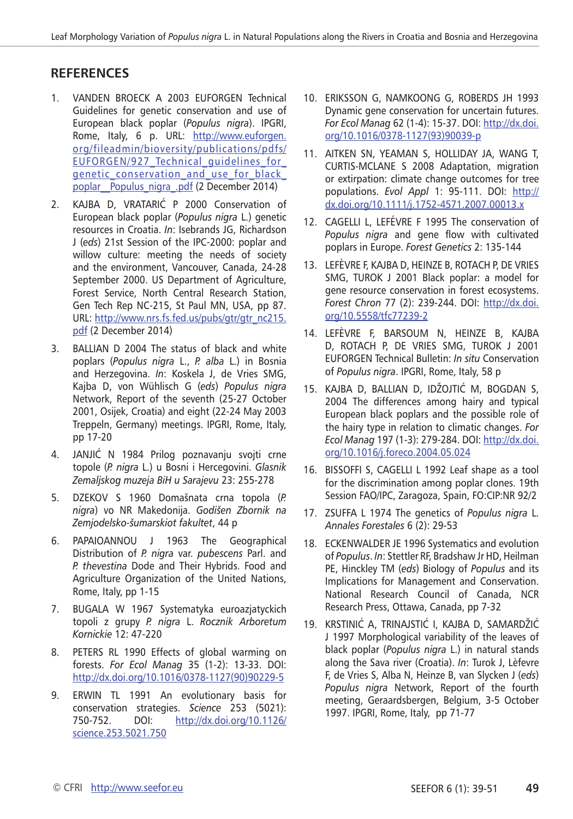## **RefereNces**

- 1. Vanden Broeck A 2003 EUFORGEN Technical Guidelines for genetic conservation and use of European black poplar (*Populus nigra*). IPGRI, Rome, Italy, 6 p. URL: [http://www.euforgen.](http://www.euforgen.org/fileadmin/bioversity/publications/pdfs/EUFORGEN/927_Technical_guidelines_for_genetic_conservation_and_use_for_black_poplar__Populus_nigra_.pdf) [org/fileadmin/bioversity/publications/pdfs/](http://www.euforgen.org/fileadmin/bioversity/publications/pdfs/EUFORGEN/927_Technical_guidelines_for_genetic_conservation_and_use_for_black_poplar__Populus_nigra_.pdf) EUFORGEN/927\_Technical\_quidelines\_for [genetic\\_conservation\\_and\\_use\\_for\\_black\\_](http://www.euforgen.org/fileadmin/bioversity/publications/pdfs/EUFORGEN/927_Technical_guidelines_for_genetic_conservation_and_use_for_black_poplar__Populus_nigra_.pdf) poplar\_Populus\_nigra\_.pdf (2 December 2014)
- 2. Kajba D, Vratarić P 2000 Conservation of European black poplar (*Populus nigra* L.) genetic resources in Croatia. *In*: Isebrands JG, Richardson J (*eds*) 21st Session of the IPC-2000: poplar and willow culture: meeting the needs of society and the environment, Vancouver, Canada, 24-28 September 2000. US Department of Agriculture, Forest Service, North Central Research Station, Gen Tech Rep NC-215, St Paul MN, USA, pp 87. URL: [http://www.nrs.fs.fed.us/pubs/gtr/gtr\\_nc215.](http://www.nrs.fs.fed.us/pubs/gtr/gtr_nc215.pdf) [pdf](http://www.nrs.fs.fed.us/pubs/gtr/gtr_nc215.pdf) (2 December 2014)
- 3. Ballian D 2004 The status of black and white poplars (*Populus nigra* L., *P. alba* L.) in Bosnia and Herzegovina. *In*: Koskela J, de Vries SMG, Kajba D, von Wühlisch G (*eds*) *Populus nigra* Network, Report of the seventh (25-27 October 2001, Osijek, Croatia) and eight (22-24 May 2003 Treppeln, Germany) meetings. IPGRI, Rome, Italy, pp 17-20
- 4. Janjić N 1984 Prilog poznavanju svojti crne topole (*P. nigra* L.) u Bosni i Hercegovini. *Glasnik Zemaljskog muzeja BiH u Sarajevu* 23: 255-278
- 5. Dzekov S 1960 Domašnata crna topola (*P. nigra*) vo NR Makedonija. *Godišen Zbornik na Zemjodelsko-šumarskiot fakultet*, 44 p
- 6. Papaioannou J 1963 The Geographical Distribution of *P. nigra* var. *pubescens* Parl. and *P. thevestina* Dode and Their Hybrids. Food and Agriculture Organization of the United Nations, Rome, Italy, pp 1-15
- 7. BUGALA W 1967 Systematyka euroazjatyckich topoli z grupy *P. nigra* L. *Rocznik Arboretum Kornickie* 12: 47-220
- 8. Peters RL 1990 Effects of global warming on forests. *For Ecol Manag* 35 (1-2): 13-33. DOI: [http://dx.doi.org/10.1016/0378-1127\(90\)90229-5](http://dx.doi.org/10.1016/0378-1127(90)90229-5)
- 9. Erwin TL 1991 An evolutionary basis for conservation strategies. *Science* 253 (5021): 750-752. DOI: [http://dx.doi.org/10.1126/](http://dx.doi.org/10.1126/science.253.5021.750) [science.253.5021.750](http://dx.doi.org/10.1126/science.253.5021.750)
- 10. Eriksson G, Namkoong G, Roberds JH 1993 Dynamic gene conservation for uncertain futures. *For Ecol Manag* 62 (1-4): 15-37. DOI: [http://dx.doi.](http://dx.doi.org/10.1016/0378-1127(93)90039-p) [org/10.1016/0378-1127\(93\)90039-p](http://dx.doi.org/10.1016/0378-1127(93)90039-p)
- 11. Aitken SN, Yeaman S, Holliday JA, Wang T, CURTIS-MCLANE S 2008 Adaptation, migration or extirpation: climate change outcomes for tree populations. *Evol Appl* 1: 95-111. DOI: [http://](http://dx.doi.org/10.1111/j.1752-4571.2007.00013.x) [dx.doi.org/10.1111/j.1752-4571.2007.00013.x](http://dx.doi.org/10.1111/j.1752-4571.2007.00013.x)
- 12. Cagelli L, Lefévre F 1995 The conservation of *Populus nigra* and gene flow with cultivated poplars in Europe. *Forest Genetics* 2: 135-144
- 13. Lefèvre F, Kajba D, Heinze B, Rotach P, de Vries SMG, TUROK J 2001 Black poplar: a model for gene resource conservation in forest ecosystems. *Forest Chron* 77 (2): 239-244. DOI: [http://dx.doi.](http://dx.doi.org/10.5558/tfc77239-2) [org/10.5558/tfc77239-2](http://dx.doi.org/10.5558/tfc77239-2)
- 14. Lefèvre F, Barsoum N, Heinze B, Kajba D, Rotach P, de Vries SMG, Turok J 2001 EUFORGEN Technical Bulletin: *In situ* Conservation of *Populus nigra*. IPGRI, Rome, Italy, 58 p
- 15. Kajba D, Ballian D, Idžojtić M, Bogdan S, 2004 The differences among hairy and typical European black poplars and the possible role of the hairy type in relation to climatic changes. *For Ecol Manag* 197 (1-3): 279-284. DOI: [http://dx.doi.](http://dx.doi.org/10.1016/j.foreco.2004.05.024) [org/10.1016/j.foreco.2004.05.024](http://dx.doi.org/10.1016/j.foreco.2004.05.024)
- 16. Bissoffi S, Cagelli L 1992 Leaf shape as a tool for the discrimination among poplar clones. 19th Session FAO/IPC, Zaragoza, Spain, FO:CIP:NR 92/2
- 17. Zsuffa L 1974 The genetics of *Populus nigra* L. *Annales Forestales* 6 (2): 29-53
- 18. ECKENWALDER JE 1996 Systematics and evolution of *Populus*. *In*: Stettler RF, Bradshaw Jr HD, Heilman PE, Hinckley TM (*eds*) Biology of *Populus* and its Implications for Management and Conservation. National Research Council of Canada, NCR Research Press, Ottawa, Canada, pp 7-32
- 19. Krstinić A, Trinajstić I, Kajba D, Samardžić J 1997 Morphological variability of the leaves of black poplar (*Populus nigra* L.) in natural stands along the Sava river (Croatia). *In*: Turok J, Lèfevre F, de Vries S, Alba N, Heinze B, van Slycken J (*eds*) *Populus nigra* Network, Report of the fourth meeting, Geraardsbergen, Belgium, 3-5 October 1997. IPGRI, Rome, Italy, pp 71-77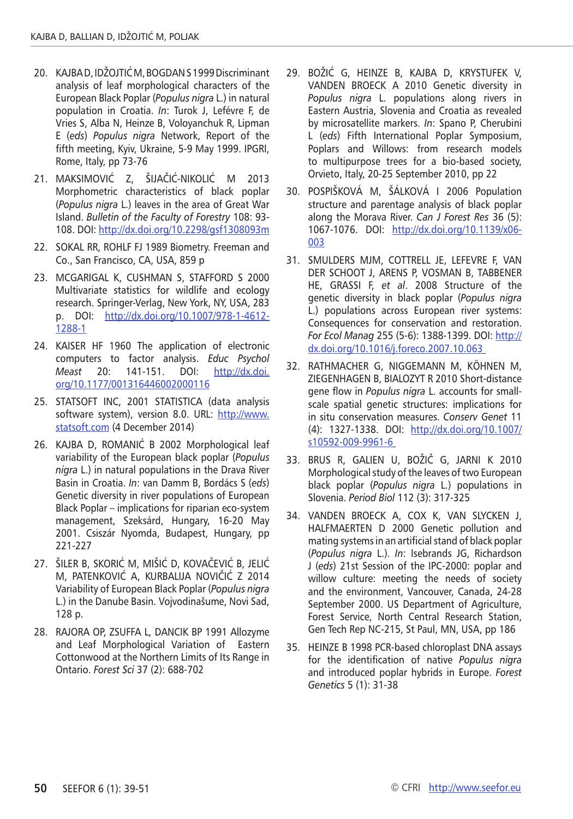- 20. Kajba D, Idžojtić M, Bogdan S 1999 Discriminant analysis of leaf morphological characters of the European Black Poplar (*Populus nigra* L.) in natural population in Croatia. *In*: Turok J, Lefévre F, de Vries S, Alba N, Heinze B, Voloyanchuk R, Lipman E (*eds*) *Populus nigra* Network, Report of the fifth meeting, Kyiv, Ukraine, 5-9 May 1999. IPGRI, Rome, Italy, pp 73-76
- 21. Maksimović Z, Šijačić-Nikolić M 2013 Morphometric characteristics of black poplar (*Populus nigra* L.) leaves in the area of Great War Island. *Bulletin of the Faculty of Forestry* 108: 93- 108. DOI:<http://dx.doi.org/10.2298/gsf1308093m>
- 22. Sokal RR, Rohlf FJ 1989 Biometry. Freeman and Co., San Francisco, CA, USA, 859 p
- 23. McGarigal K, Cushman S, Stafford S 2000 Multivariate statistics for wildlife and ecology research. Springer-Verlag, New York, NY, USA, 283 p. DOI: [http://dx.doi.org/10.1007/978-1-4612-](http://dx.doi.org/10.1007/978-1-4612-1288-1) [1288-1](http://dx.doi.org/10.1007/978-1-4612-1288-1)
- 24. Kaiser HF 1960 The application of electronic computers to factor analysis. *Educ Psychol Meast* 20: 141-151. DOI: [http://dx.doi.](http://dx.doi.org/10.1177/001316446002000116) [org/10.1177/001316446002000116](http://dx.doi.org/10.1177/001316446002000116)
- 25. STATSOFT INC, 2001 STATISTICA (data analysis software system), version 8.0. URL: [http://www.](http://www.statsoft.com) [statsoft.com](http://www.statsoft.com) (4 December 2014)
- 26. KAJBA D, Romanić B 2002 Morphological leaf variability of the European black poplar (*Populus nigra* L.) in natural populations in the Drava River Basin in Croatia. *In*: van Damm B, Bordács S (*eds*) Genetic diversity in river populations of European Black Poplar – implications for riparian eco-system management, Szeksárd, Hungary, 16-20 May 2001. Csiszár Nyomda, Budapest, Hungary, pp 221-227
- 27. ŠILER B, SKORIĆ M, MIŠIĆ D, KOVAČEVIĆ B, JELIĆ M, PATENKOVIĆ A, KURBALIJA NOVIČIĆ Z 2014 Variability of European Black Poplar (*Populus nigra* L.) in the Danube Basin. Vojvodinašume, Novi Sad, 128 p.
- 28. RAJORA OP, ZSUFFA L, DANCIK BP 1991 Allozyme and Leaf Morphological Variation of Eastern Cottonwood at the Northern Limits of Its Range in Ontario. *Forest Sci* 37 (2): 688-702
- 29. BOŽIĆ G, Heinze B, Kajba D, Krystufek V, Vanden Broeck A 2010 Genetic diversity in *Populus nigra* L. populations along rivers in Eastern Austria, Slovenia and Croatia as revealed by microsatellite markers. *In*: Spano P, Cherubini L (*eds*) Fifth International Poplar Symposium, Poplars and Willows: from research models to multipurpose trees for a bio-based society, Orvieto, Italy, 20-25 September 2010, pp 22
- 30. POSPIŠKOVÁ M, ŠÁLKOVÁ I 2006 Population structure and parentage analysis of black poplar along the Morava River. *Can J Forest Res* 36 (5): 1067-1076. DOI: [http://dx.doi.org/10.1139/x06-](http://dx.doi.org/10.1139/x06-003) [003](http://dx.doi.org/10.1139/x06-003)
- 31. SMULDERS MJM, COTTRELL JE, LEFEVRE F, VAN DER SCHOOT J, ARENS P, VOSMAN B, TABBENER HE, GRASSI F, *et al*. 2008 Structure of the genetic diversity in black poplar (*Populus nigra* L.) populations across European river systems: Consequences for conservation and restoration. *For Ecol Manag* 255 (5-6): 1388-1399. DOI: [http://](http://dx.doi.org/10.1016/j.foreco.2007.10.063) [dx.doi.org/10.1016/j.foreco.2007.10.063](http://dx.doi.org/10.1016/j.foreco.2007.10.063)
- 32. RATHMACHER G, NIGGEMANN M, KÖHNEN M, ZIEGENHAGEN B, BIALOZYT R 2010 Short-distance gene flow in *Populus nigra* L. accounts for smallscale spatial genetic structures: implications for in situ conservation measures. *Conserv Genet* 11 (4): 1327-1338. DOI: [http://dx.doi.org/10.1007/](http://dx.doi.org/10.1007/s10592-009-9961-6) [s10592-009-9961-6](http://dx.doi.org/10.1007/s10592-009-9961-6)
- 33. Brus R, Galien U, Božič G, Jarni K 2010 Morphological study of the leaves of two European black poplar (*Populus nigra* L.) populations in Slovenia. *Period Biol* 112 (3): 317-325
- 34. Vanden Broeck A, Cox K, Van Slycken J, HALFMAERTEN D 2000 Genetic pollution and mating systems in an artificial stand of black poplar (*Populus nigra* L.). *In*: Isebrands JG, Richardson J (*eds*) 21st Session of the IPC-2000: poplar and willow culture: meeting the needs of society and the environment, Vancouver, Canada, 24-28 September 2000. US Department of Agriculture, Forest Service, North Central Research Station, Gen Tech Rep NC-215, St Paul, MN, USA, pp 186
- 35. Heinze B 1998 PCR-based chloroplast DNA assays for the identification of native *Populus nigra* and introduced poplar hybrids in Europe. *Forest Genetics* 5 (1): 31-38